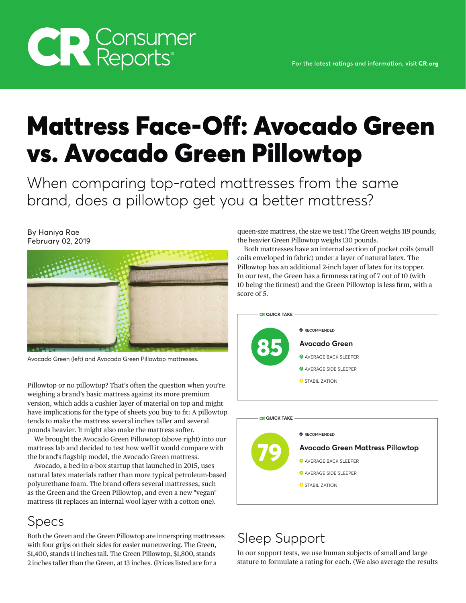# Mattress Face-Off: Avocado Green vs. Avocado Green Pillowtop

When comparing top-rated mattresses from the same brand, does a pillowtop get you a better mattress?

#### By Haniya Rae February 02, 2019



Avocado Green (left) and Avocado Green Pillowtop mattresses.

Pillowtop or no pillowtop? That's often the question when you're weighing a brand's basic mattress against its more premium version, which adds a cushier layer of material on top and might have implications for the type of sheets you buy to fit: A pillowtop tends to make the mattress several inches taller and several pounds heavier. It might also make the mattress softer.

We brought the Avocado Green Pillowtop (above right) into our mattress lab and decided to test how well it would compare with the brand's flagship model, the Avocado Green mattress.

Avocado, a bed-in-a-box startup that launched in 2015, uses natural latex materials rather than more typical petroleum-based polyurethane foam. The brand offers several mattresses, such as the Green and the Green Pillowtop, and even a new "vegan" mattress (it replaces an internal wool layer with a cotton one).

## Specs

Both the Green and the Green Pillowtop are innerspring mattresses with four grips on their sides for easier maneuvering. The Green, \$1,400, stands 11 inches tall. The Green Pillowtop, \$1,800, stands 2 inches taller than the Green, at 13 inches. (Prices listed are for a

queen-size mattress, the size we test.) The Green weighs 119 pounds; the heavier Green Pillowtop weighs 130 pounds.

Both mattresses have an internal section of pocket coils (small coils enveloped in fabric) under a layer of natural latex. The Pillowtop has an additional 2-inch layer of latex for its topper. In our test, the Green has a firmness rating of 7 out of 10 (with 10 being the firmest) and the Green Pillowtop is less firm, with a score of 5.



#### **CR QUICK TAKE**



## Sleep Support

In our support tests, we use human subjects of small and large stature to formulate a rating for each. (We also average the results